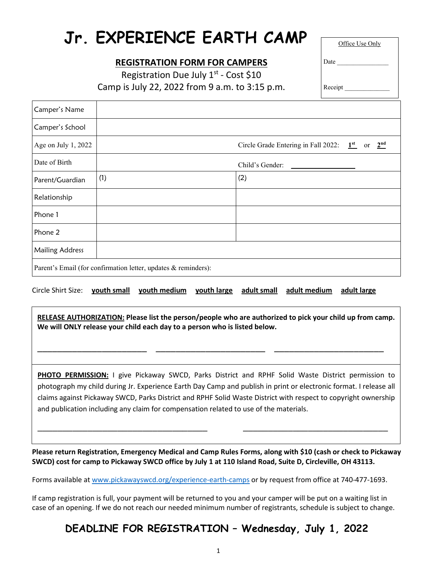# **Jr. EXPERIENCE EARTH CAMP**

## **REGISTRATION FORM FOR CAMPERS**

Registration Due July  $1^{st}$  - Cost \$10 Camp is July 22, 2022 from 9 a.m. to 3:15 p.m. Office Use Only

Receipt

Date

| Camper's Name                                                  |     |                                                    |  |  |
|----------------------------------------------------------------|-----|----------------------------------------------------|--|--|
| Camper's School                                                |     |                                                    |  |  |
| Age on July 1, 2022                                            |     | Circle Grade Entering in Fall 2022: $1st$ or $2nd$ |  |  |
| Date of Birth                                                  |     | Child's Gender:                                    |  |  |
| Parent/Guardian                                                | (1) | (2)                                                |  |  |
| Relationship                                                   |     |                                                    |  |  |
| Phone 1                                                        |     |                                                    |  |  |
| Phone 2                                                        |     |                                                    |  |  |
| <b>Mailing Address</b>                                         |     |                                                    |  |  |
| Parent's Email (for confirmation letter, updates & reminders): |     |                                                    |  |  |

Circle Shirt Size: **youth small youth medium youth large adult small adult medium adult large**

**RELEASE AUTHORIZATION: Please list the person/people who are authorized to pick your child up from camp. We will ONLY release your child each day to a person who is listed below.**

\_\_\_\_\_\_\_\_\_\_\_\_\_\_\_\_\_\_\_\_\_\_ \_\_\_\_\_\_\_\_\_\_\_\_\_\_\_\_\_\_\_\_\_\_ \_\_\_\_\_\_\_\_\_\_\_\_\_\_\_\_\_\_\_\_\_\_

**PHOTO PERMISSION:** I give Pickaway SWCD, Parks District and RPHF Solid Waste District permission to photograph my child during Jr. Experience Earth Day Camp and publish in print or electronic format. I release all claims against Pickaway SWCD, Parks District and RPHF Solid Waste District with respect to copyright ownership and publication including any claim for compensation related to use of the materials.

**Please return Registration, Emergency Medical and Camp Rules Forms, along with \$10 (cash or check to Pickaway SWCD) cost for camp to Pickaway SWCD office by July 1 at 110 Island Road, Suite D, Circleville, OH 43113.**

 $\_$  , and the contribution of the contribution of  $\mathcal{L}_\mathcal{A}$  , and the contribution of  $\mathcal{L}_\mathcal{A}$ 

 $\overline{a}$ 

Forms available at [www.pickawayswcd.org/experience-earth-camps](http://www.pickawayswcd.org/experience-earth-camps.html) or by request from office at 740-477-1693.

If camp registration is full, your payment will be returned to you and your camper will be put on a waiting list in case of an opening. If we do not reach our needed minimum number of registrants, schedule is subject to change.

# **DEADLINE FOR REGISTRATION – Wednesday, July 1, 2022**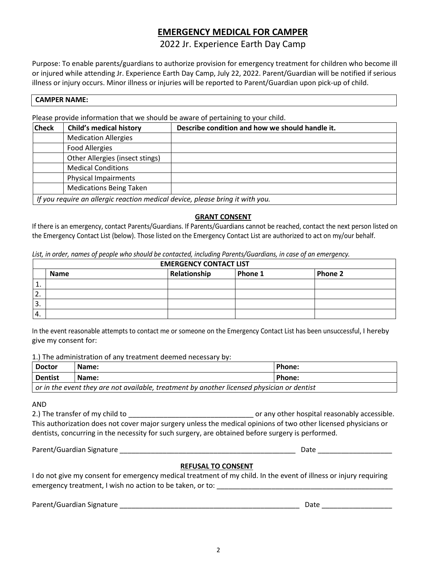# **EMERGENCY MEDICAL FOR CAMPER**

### 2022 Jr. Experience Earth Day Camp

Purpose: To enable parents/guardians to authorize provision for emergency treatment for children who become ill or injured while attending Jr. Experience Earth Day Camp, July 22, 2022. Parent/Guardian will be notified if serious illness or injury occurs. Minor illness or injuries will be reported to Parent/Guardian upon pick-up of child.

#### **CAMPER NAME:**

Please provide information that we should be aware of pertaining to your child.

| <b>Check</b> | <b>Child's medical history</b>                                                | Describe condition and how we should handle it. |
|--------------|-------------------------------------------------------------------------------|-------------------------------------------------|
|              | <b>Medication Allergies</b>                                                   |                                                 |
|              | <b>Food Allergies</b>                                                         |                                                 |
|              | Other Allergies (insect stings)                                               |                                                 |
|              | <b>Medical Conditions</b>                                                     |                                                 |
|              | Physical Impairments                                                          |                                                 |
|              | <b>Medications Being Taken</b>                                                |                                                 |
|              | If you require an allergic reaction medical device, please bring it with you. |                                                 |

#### **GRANT CONSENT**

If there is an emergency, contact Parents/Guardians. If Parents/Guardians cannot be reached, contact the next person listed on the Emergency Contact List (below). Those listed on the Emergency Contact List are authorized to act on my/our behalf.

|                  | <b>EMERGENCY CONTACT LIST</b> |              |         |         |  |  |  |
|------------------|-------------------------------|--------------|---------|---------|--|--|--|
|                  | <b>Name</b>                   | Relationship | Phone 1 | Phone 2 |  |  |  |
| ᆠ.               |                               |              |         |         |  |  |  |
| ◠<br><u>.</u>    |                               |              |         |         |  |  |  |
| 3.               |                               |              |         |         |  |  |  |
| $\overline{4}$ . |                               |              |         |         |  |  |  |

In the event reasonable attempts to contact me or someone on the Emergency Contact List has been unsuccessful, I hereby give my consent for:

1.) The administration of any treatment deemed necessary by:

| <b>Doctor</b>                                                                                     | Name: | Phone: |  |  |
|---------------------------------------------------------------------------------------------------|-------|--------|--|--|
| <b>Dentist</b>                                                                                    | Name: | Phone: |  |  |
| $\mid$ or in the event they are not available, treatment by another licensed physician or dentist |       |        |  |  |

AND

2.) The transfer of my child to **the contract of the set of a** contract or any other hospital reasonably accessible. This authorization does not cover major surgery unless the medical opinions of two other licensed physicians or dentists, concurring in the necessity for such surgery, are obtained before surgery is performed.

Parent/Guardian Signature \_\_\_\_\_\_\_\_\_\_\_\_\_\_\_\_\_\_\_\_\_\_\_\_\_\_\_\_\_\_\_\_\_\_\_\_\_\_\_\_\_\_\_\_\_ Date \_\_\_\_\_\_\_\_\_\_\_\_\_\_\_\_\_\_\_

#### **REFUSAL TO CONSENT**

I do not give my consent for emergency medical treatment of my child. In the event of illness or injury requiring emergency treatment, I wish no action to be taken, or to: \_\_\_\_\_\_\_\_\_\_\_\_\_\_\_\_\_\_\_\_\_\_\_\_\_\_\_\_\_\_\_\_\_\_\_\_\_\_\_\_\_\_\_\_\_

Parent/Guardian Signature \_\_\_\_\_\_\_\_\_\_\_\_\_\_\_\_\_\_\_\_\_\_\_\_\_\_\_\_\_\_\_\_\_\_\_\_\_\_\_\_\_\_\_\_\_\_ Date \_\_\_\_\_\_\_\_\_\_\_\_\_\_\_\_\_\_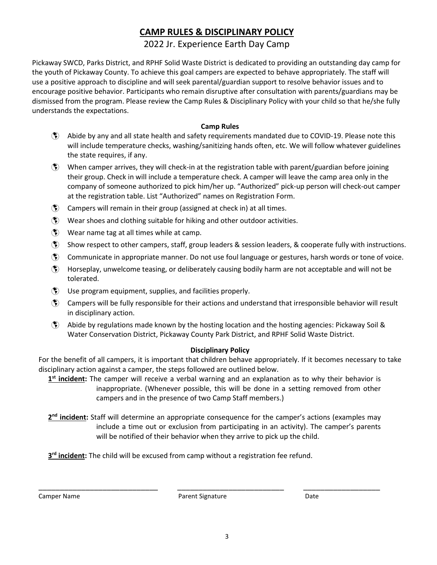# **CAMP RULES & DISCIPLINARY POLICY**

## 2022 Jr. Experience Earth Day Camp

Pickaway SWCD, Parks District, and RPHF Solid Waste District is dedicated to providing an outstanding day camp for the youth of Pickaway County. To achieve this goal campers are expected to behave appropriately. The staff will use a positive approach to discipline and will seek parental/guardian support to resolve behavior issues and to encourage positive behavior. Participants who remain disruptive after consultation with parents/guardians may be dismissed from the program. Please review the Camp Rules & Disciplinary Policy with your child so that he/she fully understands the expectations.

#### **Camp Rules**

- Abide by any and all state health and safety requirements mandated due to COVID-19. Please note this will include temperature checks, washing/sanitizing hands often, etc. We will follow whatever guidelines the state requires, if any.
- $\langle \hat{\mathbf{x}} \rangle$  When camper arrives, they will check-in at the registration table with parent/guardian before joining their group. Check in will include a temperature check. A camper will leave the camp area only in the company of someone authorized to pick him/her up. "Authorized" pick-up person will check-out camper at the registration table. List "Authorized" names on Registration Form.
- Campers will remain in their group (assigned at check in) at all times.
- $\binom{2}{3}$  Wear shoes and clothing suitable for hiking and other outdoor activities.
- Wear name tag at all times while at camp.
- Show respect to other campers, staff, group leaders & session leaders, & cooperate fully with instructions.
- Communicate in appropriate manner. Do not use foul language or gestures, harsh words or tone of voice.
- Horseplay, unwelcome teasing, or deliberately causing bodily harm are not acceptable and will not be tolerated.
- Use program equipment, supplies, and facilities properly.
- $\binom{2}{3}$  Campers will be fully responsible for their actions and understand that irresponsible behavior will result in disciplinary action.
- Abide by regulations made known by the hosting location and the hosting agencies: Pickaway Soil & Water Conservation District, Pickaway County Park District, and RPHF Solid Waste District.

#### **Disciplinary Policy**

For the benefit of all campers, it is important that children behave appropriately. If it becomes necessary to take disciplinary action against a camper, the steps followed are outlined below.

**1st incident:** The camper will receive a verbal warning and an explanation as to why their behavior is inappropriate. (Whenever possible, this will be done in a setting removed from other campers and in the presence of two Camp Staff members.)

**2nd incident:** Staff will determine an appropriate consequence for the camper's actions (examples may include a time out or exclusion from participating in an activity). The camper's parents will be notified of their behavior when they arrive to pick up the child.

**3<sup>rd</sup> incident:** The child will be excused from camp without a registration fee refund.

Camper Name **Parent Signature Parent Signature Parent Signature Parent Signature Parent Signature Parent Signature** 

\_\_\_\_\_\_\_\_\_\_\_\_\_\_\_\_\_\_\_\_\_\_\_\_\_\_\_\_ \_\_\_\_\_\_\_\_\_\_\_\_\_\_\_\_\_\_\_\_\_\_\_\_\_ \_\_\_\_\_\_\_\_\_\_\_\_\_\_\_\_\_\_